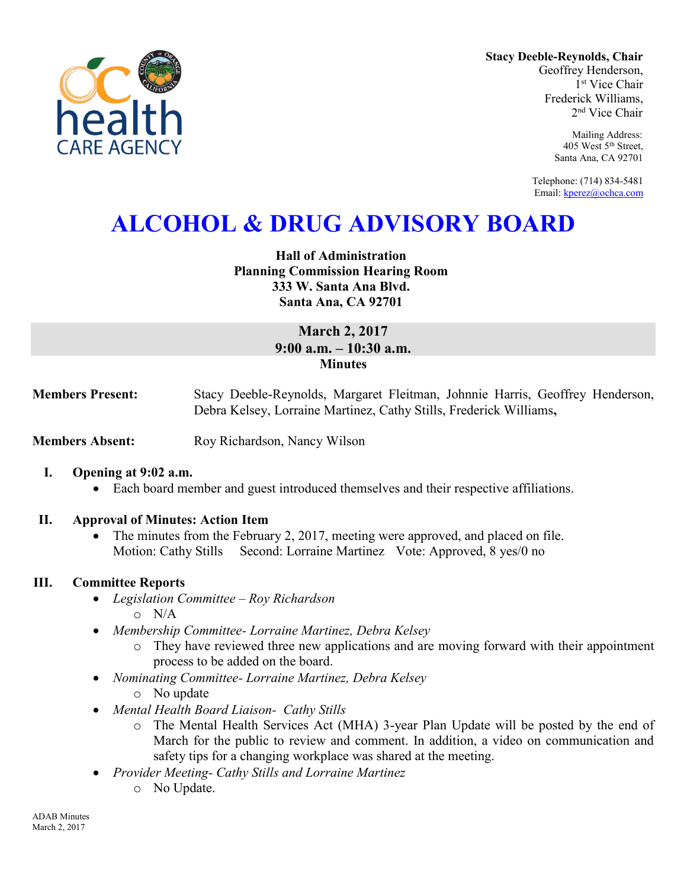

**Stacy Deeble-Reynolds, Chair** Geoffrey Henderson, 1 st Vice Chair Frederick Williams, 2 nd Vice Chair

> Mailing Address: 405 West 5th Street, Santa Ana, CA 92701

Telephone: (714) 834-5481 Email[: kperez@ochca.com](mailto:kperez@ochca.com)

# **ALCOHOL & DRUG ADVISORY BOARD**

## **Hall of Administration Planning Commission Hearing Room 333 W. Santa Ana Blvd. Santa Ana, CA 92701**

# **March 2, 2017 9:00 a.m. – 10:30 a.m. Minutes**

**Members Present:** Stacy Deeble-Reynolds, Margaret Fleitman, Johnnie Harris, Geoffrey Henderson, Debra Kelsey, Lorraine Martinez, Cathy Stills, Frederick Williams**,** 

**Members Absent:** Roy Richardson, Nancy Wilson

### **I. Opening at 9:02 a.m.**

Each board member and guest introduced themselves and their respective affiliations.

### **II. Approval of Minutes: Action Item**

• The minutes from the February 2, 2017, meeting were approved, and placed on file. Motion: Cathy Stills Second: Lorraine Martinez Vote: Approved, 8 yes/0 no

### **III. Committee Reports**

- *Legislation Committee Roy Richardson*  o N/A
- *Membership Committee- Lorraine Martinez, Debra Kelsey* 
	- o They have reviewed three new applications and are moving forward with their appointment process to be added on the board.
- *Nominating Committee- Lorraine Martinez, Debra Kelsey* 
	- o No update
- *Mental Health Board Liaison- Cathy Stills* 
	- o The Mental Health Services Act (MHA) 3-year Plan Update will be posted by the end of March for the public to review and comment. In addition, a video on communication and safety tips for a changing workplace was shared at the meeting.
- *Provider Meeting- Cathy Stills and Lorraine Martinez* 
	- o No Update.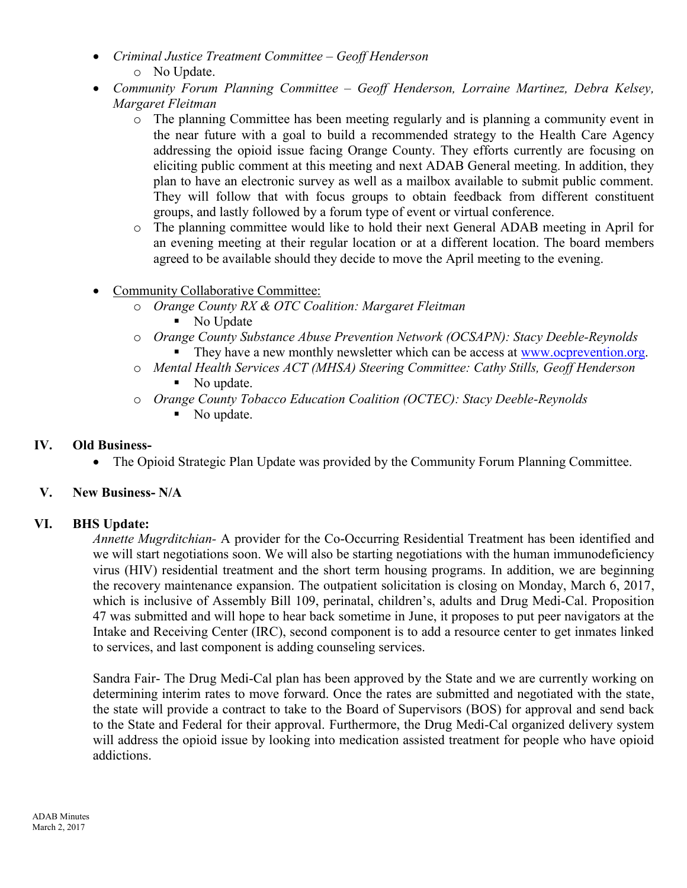- *Criminal Justice Treatment Committee – Geoff Henderson*  o No Update.
- *Community Forum Planning Committee Geoff Henderson, Lorraine Martinez, Debra Kelsey, Margaret Fleitman* 
	- o The planning Committee has been meeting regularly and is planning a community event in the near future with a goal to build a recommended strategy to the Health Care Agency addressing the opioid issue facing Orange County. They efforts currently are focusing on eliciting public comment at this meeting and next ADAB General meeting. In addition, they plan to have an electronic survey as well as a mailbox available to submit public comment. They will follow that with focus groups to obtain feedback from different constituent groups, and lastly followed by a forum type of event or virtual conference.
	- o The planning committee would like to hold their next General ADAB meeting in April for an evening meeting at their regular location or at a different location. The board members agreed to be available should they decide to move the April meeting to the evening.
- Community Collaborative Committee:
	- o *Orange County RX & OTC Coalition: Margaret Fleitman*  No Update
	- o *Orange County Substance Abuse Prevention Network (OCSAPN): Stacy Deeble-Reynolds*  They have a new monthly newsletter which can be access at [www.ocprevention.org.](http://www.ocprevention.org/)
	- o *Mental Health Services ACT (MHSA) Steering Committee: Cathy Stills, Geoff Henderson*  • No update.
	- o *Orange County Tobacco Education Coalition (OCTEC): Stacy Deeble-Reynolds* 
		- No update.

### **IV. Old Business-**

• The Opioid Strategic Plan Update was provided by the Community Forum Planning Committee.

# **V. New Business- N/A**

### **VI. BHS Update:**

*Annette Mugrditchian-* A provider for the Co-Occurring Residential Treatment has been identified and we will start negotiations soon. We will also be starting negotiations with the human immunodeficiency virus (HIV) residential treatment and the short term housing programs. In addition, we are beginning the recovery maintenance expansion. The outpatient solicitation is closing on Monday, March 6, 2017, which is inclusive of Assembly Bill 109, perinatal, children's, adults and Drug Medi-Cal. Proposition 47 was submitted and will hope to hear back sometime in June, it proposes to put peer navigators at the Intake and Receiving Center (IRC), second component is to add a resource center to get inmates linked to services, and last component is adding counseling services.

Sandra Fair- The Drug Medi-Cal plan has been approved by the State and we are currently working on determining interim rates to move forward. Once the rates are submitted and negotiated with the state, the state will provide a contract to take to the Board of Supervisors (BOS) for approval and send back to the State and Federal for their approval. Furthermore, the Drug Medi-Cal organized delivery system will address the opioid issue by looking into medication assisted treatment for people who have opioid addictions.